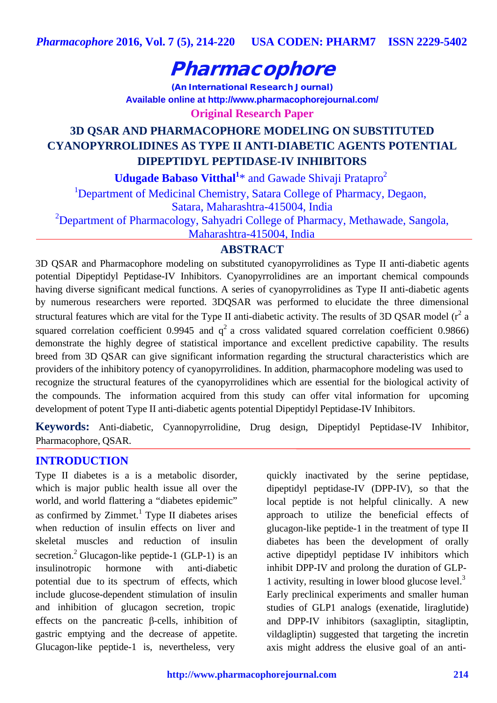# Pharmacophore

(An International Research Journal) **Available online at <http://www.pharmacophorejournal.com/>**

**Original Research Paper**

# **3D QSAR AND PHARMACOPHORE MODELING ON SUBSTITUTED CYANOPYRROLIDINES AS TYPE II ANTI-DIABETIC AGENTS POTENTIAL DIPEPTIDYL PEPTIDASE-IV INHIBITORS**

**Udugade Babaso Vitthal<sup>1</sup>**\* and Gawade Shivaji Pratapro<sup>2</sup>

<sup>1</sup>Department of Medicinal Chemistry, Satara College of Pharmacy, Degaon, Satara, Maharashtra-415004, India

<sup>2</sup>Department of Pharmacology, Sahyadri College of Pharmacy, Methawade, Sangola,

Maharashtra-415004, India

# **ABSTRACT**

3D QSAR and Pharmacophore modeling on substituted cyanopyrrolidines as Type II anti-diabetic agents potential Dipeptidyl Peptidase-IV Inhibitors. Cyanopyrrolidines are an important chemical compounds having diverse significant medical functions. A series of cyanopyrrolidines as Type II anti-diabetic agents by numerous researchers were reported. 3DQSAR was performed to elucidate the three dimensional structural features which are vital for the Type II anti-diabetic activity. The results of 3D QSAR model ( $r^2$  a squared correlation coefficient 0.9945 and  $q^2$  a cross validated squared correlation coefficient 0.9866) demonstrate the highly degree of statistical importance and excellent predictive capability. The results breed from 3D QSAR can give significant information regarding the structural characteristics which are providers of the inhibitory potency of cyanopyrrolidines. In addition, pharmacophore modeling was used to recognize the structural features of the cyanopyrrolidines which are essential for the biological activity of the compounds. The information acquired from this study can offer vital information for upcoming development of potent Type II anti-diabetic agents potential Dipeptidyl Peptidase-IV Inhibitors.

**Keywords:** Anti-diabetic, Cyannopyrrolidine, Drug design, Dipeptidyl Peptidase-IV Inhibitor, Pharmacophore, QSAR.

## **INTRODUCTION**

Type II diabetes is a is a metabolic disorder, which is major public health issue all over the world, and world flattering a "diabetes epidemic" as confirmed by Zimmet.<sup>1</sup> Type II diabetes arises when reduction of insulin effects on liver and skeletal muscles and reduction of insulin secretion.<sup>2</sup> Glucagon-like peptide-1 (GLP-1) is an insulinotropic hormone with anti-diabetic potential due to its spectrum of effects, which include glucose-dependent stimulation of insulin and inhibition of glucagon secretion, tropic effects on the pancreatic β-cells, inhibition of gastric emptying and the decrease of appetite. Glucagon-like peptide-1 is, nevertheless, very

quickly inactivated by the serine peptidase, dipeptidyl peptidase-IV (DPP-IV), so that the local peptide is not helpful clinically. A new approach to utilize the beneficial effects of glucagon-like peptide-1 in the treatment of type II diabetes has been the development of orally active dipeptidyl peptidase IV inhibitors which inhibit DPP-IV and prolong the duration of GLP-1 activity, resulting in lower blood glucose level.<sup>3</sup> Early preclinical experiments and smaller human studies of GLP1 analogs (exenatide, liraglutide) and DPP-IV inhibitors (saxagliptin, sitagliptin, vildagliptin) suggested that targeting the incretin axis might address the elusive goal of an anti-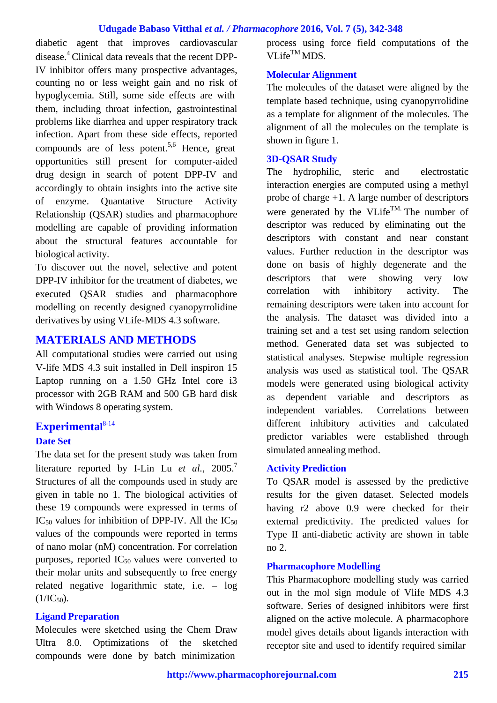#### **Udugade Babaso Vitthal** *et al. / Pharmacophore* **2016, Vol. 7 (5), 342-348**

diabetic agent that improves cardiovascular disease.4 Clinical data reveals that the recent DPP-IV inhibitor offers many prospective advantages, counting no or less weight gain and no risk of hypoglycemia. Still, some side effects are with them, including throat infection, gastrointestinal problems like diarrhea and upper respiratory track infection. Apart from these side effects, reported compounds are of less potent.<sup>5,6</sup> Hence, great opportunities still present for computer-aided drug design in search of potent DPP-IV and accordingly to obtain insights into the active site of enzyme. Quantative Structure Activity Relationship (QSAR) studies and pharmacophore modelling are capable of providing information about the structural features accountable for biological activity.

To discover out the novel, selective and potent DPP-IV inhibitor for the treatment of diabetes, we executed QSAR studies and pharmacophore modelling on recently designed cyanopyrrolidine derivatives by using VLife-MDS 4.3 software.

## **MATERIALS AND METHODS**

All computational studies were carried out using V-life MDS 4.3 suit installed in Dell inspiron 15 Laptop running on a 1.50 GHz Intel core i3 processor with 2GB RAM and 500 GB hard disk with Windows 8 operating system.

# **Experimental** 8-14

## **Date Set**

The data set for the present study was taken from literature reported by I-Lin Lu *et al.*, 2005.<sup>7</sup> Structures of all the compounds used in study are given in table no 1. The biological activities of these 19 compounds were expressed in terms of  $IC_{50}$  values for inhibition of DPP-IV. All the  $IC_{50}$ values of the compounds were reported in terms of nano molar (nM) concentration. For correlation purposes, reported  $IC_{50}$  values were converted to their molar units and subsequently to free energy related negative logarithmic state, i.e. – log  $(1/IC_{50})$ .

#### **Ligand Preparation**

Molecules were sketched using the Chem Draw Ultra 8.0. Optimizations of the sketched compounds were done by batch minimization

process using force field computations of the  $VLife^{TM}MDS.$ 

#### **Molecular Alignment**

The molecules of the dataset were aligned by the template based technique, using cyanopyrrolidine as a template for alignment of the molecules. The alignment of all the molecules on the template is shown in figure 1.

#### **3D-QSAR Study**

The hydrophilic, steric and electrostatic interaction energies are computed using a methyl probe of charge +1. A large number of descriptors were generated by the VLife<sup>TM.</sup> The number of descriptor was reduced by eliminating out the descriptors with constant and near constant values. Further reduction in the descriptor was done on basis of highly degenerate and the descriptors that were showing very low correlation with inhibitory activity. The remaining descriptors were taken into account for the analysis. The dataset was divided into a training set and a test set using random selection method. Generated data set was subjected to statistical analyses. Stepwise multiple regression analysis was used as statistical tool. The QSAR models were generated using biological activity as dependent variable and descriptors as independent variables. Correlations between different inhibitory activities and calculated predictor variables were established through simulated annealing method.

#### **Activity Prediction**

To QSAR model is assessed by the predictive results for the given dataset. Selected models having r2 above 0.9 were checked for their external predictivity. The predicted values for Type II anti-diabetic activity are shown in table no 2.

#### **Pharmacophore Modelling**

This Pharmacophore modelling study was carried out in the mol sign module of Vlife MDS 4.3 software. Series of designed inhibitors were first aligned on the active molecule. A pharmacophore model gives details about ligands interaction with receptor site and used to identify required similar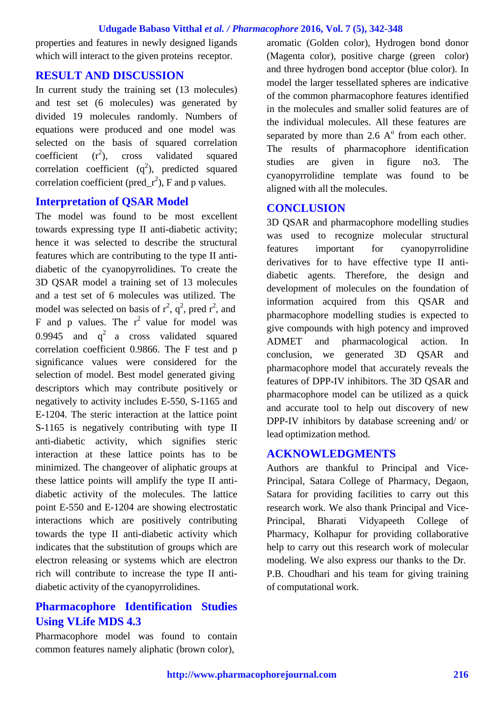#### **Udugade Babaso Vitthal** *et al. / Pharmacophore* **2016, Vol. 7 (5), 342-348**

properties and features in newly designed ligands which will interact to the given proteins receptor.

### **RESULT AND DISCUSSION**

In current study the training set (13 molecules) and test set (6 molecules) was generated by divided 19 molecules randomly. Numbers of equations were produced and one model was selected on the basis of squared correlation coefficient  $(r^2)$ . ), cross validated squared correlation coefficient  $(q^2)$ , predicted squared correlation coefficient ( $pred_r^2$ ), F and p values.

#### **Interpretation of QSAR Model**

The model was found to be most excellent towards expressing type II anti-diabetic activity; hence it was selected to describe the structural features which are contributing to the type II antidiabetic of the cyanopyrrolidines. To create the 3D QSAR model a training set of 13 molecules and a test set of 6 molecules was utilized. The model was selected on basis of  $r^2$ ,  $q^2$ , pred  $r^2$ , and F and p values. The  $r^2$  value for model was 0.9945 and  $q^2$  a cross validated squared correlation coefficient 0.9866. The F test and p significance values were considered for the selection of model. Best model generated giving descriptors which may contribute positively or negatively to activity includes E-550, S-1165 and E-1204. The steric interaction at the lattice point S-1165 is negatively contributing with type II anti-diabetic activity, which signifies steric interaction at these lattice points has to be minimized. The changeover of aliphatic groups at these lattice points will amplify the type II antidiabetic activity of the molecules. The lattice point E-550 and E-1204 are showing electrostatic interactions which are positively contributing towards the type II anti-diabetic activity which indicates that the substitution of groups which are electron releasing or systems which are electron rich will contribute to increase the type II antidiabetic activity of the cyanopyrrolidines.

# **Pharmacophore Identification Studies Using VLife MDS 4.3**

Pharmacophore model was found to contain common features namely aliphatic (brown color),

aromatic (Golden color), Hydrogen bond donor (Magenta color), positive charge (green color) and three hydrogen bond acceptor (blue color). In model the larger tessellated spheres are indicative of the common pharmacophore features identified in the molecules and smaller solid features are of the individual molecules. All these features are separated by more than  $2.6 \text{ A}^{\circ}$  from each other. The results of pharmacophore identification studies are given in figure no3. The cyanopyrrolidine template was found to be aligned with all the molecules.

## **CONCLUSION**

3D QSAR and pharmacophore modelling studies was used to recognize molecular structural features important for cyanopyrrolidine derivatives for to have effective type II antidiabetic agents. Therefore, the design and development of molecules on the foundation of information acquired from this QSAR and pharmacophore modelling studies is expected to give compounds with high potency and improved ADMET and pharmacological action. In conclusion, we generated 3D QSAR and pharmacophore model that accurately reveals the features of DPP-IV inhibitors. The 3D QSAR and pharmacophore model can be utilized as a quick and accurate tool to help out discovery of new DPP-IV inhibitors by database screening and/ or lead optimization method.

## **ACKNOWLEDGMENTS**

Authors are thankful to Principal and Vice-Principal, Satara College of Pharmacy, Degaon, Satara for providing facilities to carry out this research work. We also thank Principal and Vice-Principal, Bharati Vidyapeeth College of Pharmacy, Kolhapur for providing collaborative help to carry out this research work of molecular modeling. We also express our thanks to the Dr. P.B. Choudhari and his team for giving training of computational work.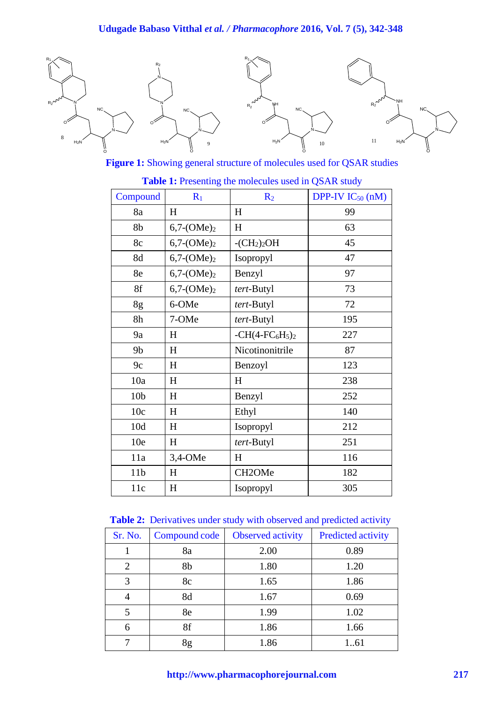

**Figure 1:** Showing general structure of molecules used for QSAR studies

| Compound        | $R_1$         | R <sub>2</sub>  | DPP-IV $IC_{50}$ (nM) |
|-----------------|---------------|-----------------|-----------------------|
| 8a              | H             | H               | 99                    |
| 8b              | $6,7-(OME)_2$ | H               | 63                    |
| 8c              | $6,7-(OME)_2$ | $-CH2)2OH$      | 45                    |
| 8d              | $6,7-(OME)_2$ | Isopropyl       | 47                    |
| 8e              | $6,7-(OME)_2$ | Benzyl          | 97                    |
| 8f              | $6,7-(OME)_2$ | tert-Butyl      | 73                    |
| 8g              | 6-OMe         | tert-Butyl      | 72                    |
| 8h              | 7-OMe         | tert-Butyl      | 195                   |
| 9a              | H             | $-CH(4-FC6H5)2$ | 227                   |
| 9 <sub>b</sub>  | H             | Nicotinonitrile | 87                    |
| 9c              | H             | Benzoyl         | 123                   |
| 10a             | $H_{\rm}$     | H               | 238                   |
| 10 <sub>b</sub> | H             | Benzyl          | 252                   |
| 10c             | H             | Ethyl           | 140                   |
| 10d             | H             | Isopropyl       | 212                   |
| 10e             | H             | tert-Butyl      | 251                   |
| 11a             | 3,4-OMe       | $H_{\rm}$       | 116                   |
| 11 <sub>b</sub> | H             | CH2OMe          | 182                   |
| 11c             | H             | Isopropyl       | 305                   |

## **Table 1:** Presenting the molecules used in QSAR study

**Table 2:** Derivatives under study with observed and predicted activity

| Sr. No.        | Compound code | <b>Observed activity</b> | <b>Predicted activity</b> |
|----------------|---------------|--------------------------|---------------------------|
|                |               |                          |                           |
|                | 8a            | 2.00                     | 0.89                      |
| $\overline{2}$ | 8b            | 1.80                     | 1.20                      |
| 3              | 8c            | 1.65                     | 1.86                      |
|                | 8d            | 1.67                     | 0.69                      |
| 5              | 8e            | 1.99                     | 1.02                      |
| 6              | 8f            | 1.86                     | 1.66                      |
|                | 8g            | 1.86                     | 161                       |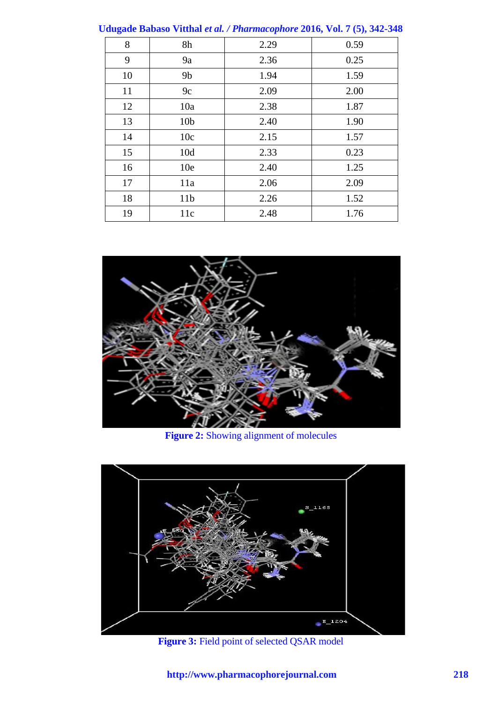| $\alpha$ uigaut Davaso Vittnai et al. / 1 harmatophore 2010, Vol. / (9), 942-940 |                 |      |      |  |  |
|----------------------------------------------------------------------------------|-----------------|------|------|--|--|
| 8                                                                                | 8h              | 2.29 | 0.59 |  |  |
| 9                                                                                | 9a              | 2.36 | 0.25 |  |  |
| 10                                                                               | 9 <sub>b</sub>  | 1.94 | 1.59 |  |  |
| 11                                                                               | 9c              | 2.09 | 2.00 |  |  |
| 12                                                                               | 10a             | 2.38 | 1.87 |  |  |
| 13                                                                               | 10 <sub>b</sub> | 2.40 | 1.90 |  |  |
| 14                                                                               | 10c             | 2.15 | 1.57 |  |  |
| 15                                                                               | 10d             | 2.33 | 0.23 |  |  |
| 16                                                                               | 10 <sub>e</sub> | 2.40 | 1.25 |  |  |
| 17                                                                               | 11a             | 2.06 | 2.09 |  |  |
| 18                                                                               | 11 <sub>b</sub> | 2.26 | 1.52 |  |  |
| 19                                                                               | 11c             | 2.48 | 1.76 |  |  |

**Udugade Babaso Vitthal** *et al. / Pharmacophore* **2016, Vol. 7 (5), 342-348**



**Figure 2:** Showing alignment of molecules



**Figure 3:** Field point of selected QSAR model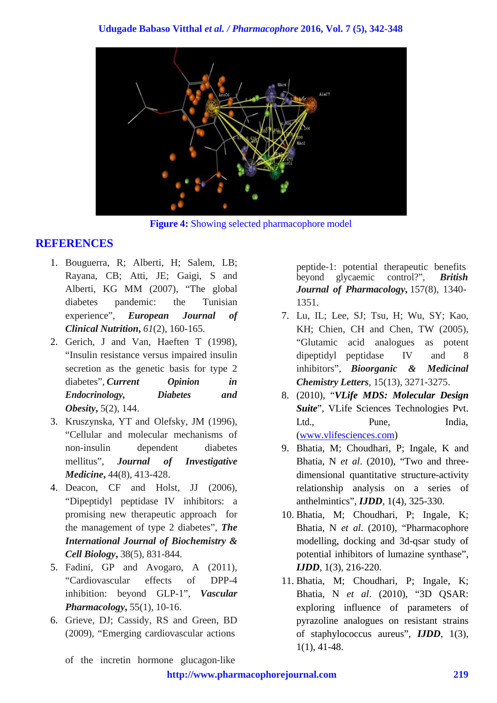

**Figure 4:** Showing selected pharmacophore model

# **REFERENCES**

- 1. Bouguerra, R; Alberti, H; Salem, LB; Rayana, CB; Atti, JE; Gaigi, S and Alberti, KG MM (2007), "The global diabetes pandemic: the Tunisian experience", *European Journal of Clinical Nutrition***,** *61*(2), 160-165.
- 2. Gerich, J and Van, Haeften T (1998), "Insulin resistance versus impaired insulin secretion as the genetic basis for type 2 diabetes", *Current Opinion in Endocrinology, Diabetes and Obesity***,** 5(2), 144.
- 3. Kruszynska, YT and Olefsky, JM (1996), "Cellular and molecular mechanisms of non-insulin dependent diabetes mellitus", *Journal of Investigative Medicine***,** 44(8), 413-428.
- 4. Deacon, CF and Holst, JJ (2006), "Dipeptidyl peptidase IV inhibitors: a promising new therapeutic approach for the management of type 2 diabetes", *The International Journal of Biochemistry & Cell Biology***,** 38(5), 831-844.
- 5. Fadini, GP and Avogaro, A (2011), "Cardiovascular effects of DPP-4 inhibition: beyond GLP-1", *Vascular Pharmacology***,** 55(1), 10-16.
- 6. Grieve, DJ; Cassidy, RS and Green, BD (2009), "Emerging cardiovascular actions

peptide-1: potential therapeutic benefits<br>beyond glycaemic control?", **British** beyond glycaemic *Journal of Pharmacology***,** 157(8), 1340- 1351.

- 7. Lu, IL; Lee, SJ; Tsu, H; Wu, SY; Kao, KH; Chien, CH and Chen, TW (2005), "Glutamic acid analogues as potent dipeptidyl peptidase IV and 8 inhibitors", *Bioorganic & Medicinal Chemistry Letters*, 15(13), 3271-3275.
- 8. (2010), "*VLife MDS: Molecular Design Suite*", VLife Sciences Technologies Pvt. Ltd., Pune, India, [\(www.vlifesciences.com\)](http://www.vlifesciences.com/)
- 9. Bhatia, M; Choudhari, P; Ingale, K and Bhatia, N *et al*. (2010), "Two and threedimensional quantitative structure-activity relationship analysis on a series of anthelmintics", *IJDD*, 1(4), 325-330.
- 10. Bhatia, M; Choudhari, P; Ingale, K; Bhatia, N *et al*. (2010), "Pharmacophore modelling, docking and 3d-qsar study of potential inhibitors of lumazine synthase", *IJDD*, 1(3), 216-220.
- 11. Bhatia, M; Choudhari, P; Ingale, K; Bhatia, N *et al*. (2010), "3D QSAR: exploring influence of parameters of pyrazoline analogues on resistant strains of staphylococcus aureus", *IJDD*, 1(3), 1(1), 41-48.

of the incretin hormone glucagon‐like